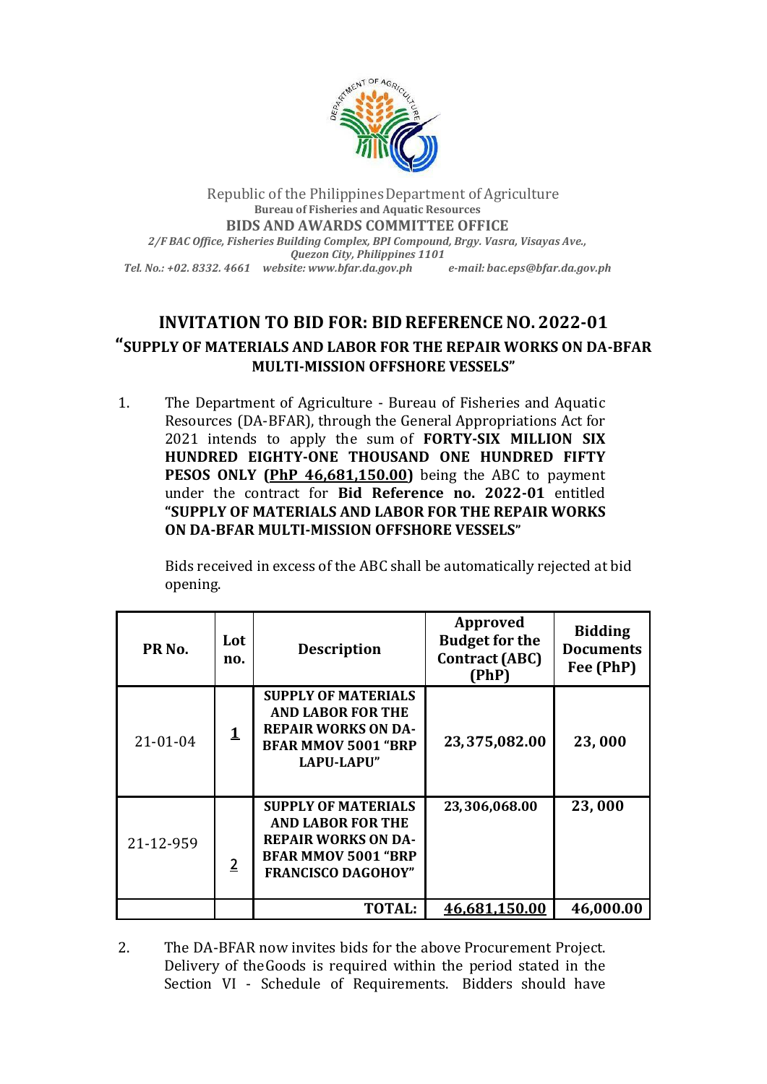

Republic of the PhilippinesDepartment of Agriculture **Bureau of Fisheries and Aquatic Resources BIDS AND AWARDS COMMITTEE OFFICE** *2/F BAC Office, Fisheries Building Complex, BPI Compound, Brgy. Vasra, Visayas Ave., Quezon City, Philippines 1101 Tel. No.: +02. 8332. 4661 website: [www.bfar.da.gov.ph](http://www.bfar.da.gov.ph/) e-mail: [bac.eps@bfar.da.gov.ph](mailto:bac.eps@bfar.da.gov.ph)*

## **INVITATION TO BID FOR: BID REFERENCENO. 2022-01 "SUPPLY OF MATERIALS AND LABOR FOR THE REPAIR WORKS ON DA-BFAR MULTI-MISSION OFFSHORE VESSELS"**

1. The Department of Agriculture - Bureau of Fisheries and Aquatic Resources (DA-BFAR), through the General Appropriations Act for 2021 intends to apply the sum of **FORTY-SIX MILLION SIX HUNDRED EIGHTY-ONE THOUSAND ONE HUNDRED FIFTY PESOS ONLY (PhP 46,681,150.00)** being the ABC to payment under the contract for **Bid Reference no. 2022-01** entitled **"SUPPLY OF MATERIALS AND LABOR FOR THE REPAIR WORKS ON DA-BFAR MULTI-MISSION OFFSHORE VESSELS"**

Bids received in excess of the ABC shall be automatically rejected at bid opening.

| PR <sub>No.</sub> | Lot<br>no.     | <b>Description</b>                                                                                                                              | Approved<br><b>Budget for the</b><br><b>Contract (ABC)</b><br>(PhP) | <b>Bidding</b><br><b>Documents</b><br>Fee (PhP) |
|-------------------|----------------|-------------------------------------------------------------------------------------------------------------------------------------------------|---------------------------------------------------------------------|-------------------------------------------------|
| $21 - 01 - 04$    | 1              | <b>SUPPLY OF MATERIALS</b><br><b>AND LABOR FOR THE</b><br><b>REPAIR WORKS ON DA-</b><br><b>BFAR MMOV 5001 "BRP</b><br><b>LAPU-LAPU"</b>         | 23,375,082.00                                                       | 23,000                                          |
| 21-12-959         | $\overline{2}$ | <b>SUPPLY OF MATERIALS</b><br><b>AND LABOR FOR THE</b><br><b>REPAIR WORKS ON DA-</b><br><b>BFAR MMOV 5001 "BRP</b><br><b>FRANCISCO DAGOHOY"</b> | 23,306,068.00                                                       | 23,000                                          |
|                   |                | <b>TOTAL:</b>                                                                                                                                   | 46,681,150.00                                                       | 46,000.00                                       |

2. The DA-BFAR now invites bids for the above Procurement Project. Delivery of theGoods is required within the period stated in the Section VI - Schedule of Requirements. Bidders should have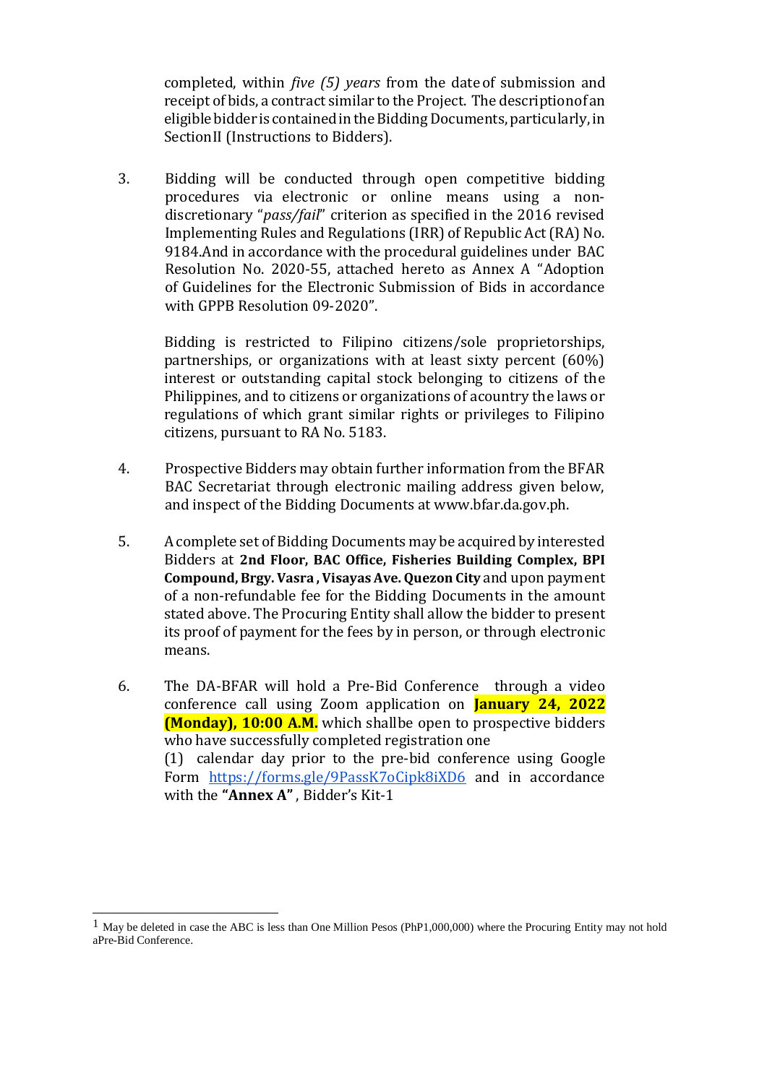completed, within *five (5) years* from the dateof submission and receipt of bids, a contract similar to the Project. The descriptionof an eligible bidder is contained in the Bidding Documents, particularly, in SectionII (Instructions to Bidders).

3. Bidding will be conducted through open competitive bidding procedures via electronic or online means using a nondiscretionary "*pass/fail*" criterion as specified in the 2016 revised Implementing Rules and Regulations (IRR) of Republic Act (RA) No. 9184.And in accordance with the procedural guidelines under BAC Resolution No. 2020-55, attached hereto as Annex A "Adoption of Guidelines for the Electronic Submission of Bids in accordance with GPPB Resolution 09-2020".

Bidding is restricted to Filipino citizens/sole proprietorships, partnerships, or organizations with at least sixty percent (60%) interest or outstanding capital stock belonging to citizens of the Philippines, and to citizens or organizations of acountry the laws or regulations of which grant similar rights or privileges to Filipino citizens, pursuant to RA No. 5183.

- 4. Prospective Bidders may obtain further information from the BFAR BAC Secretariat through electronic mailing address given below, and inspect of the Bidding Documents at [www.bfar.da.gov.ph.](http://www.bfar.da.gov.ph/)
- 5. A complete set of Bidding Documents may be acquired by interested Bidders at **2nd Floor, BAC Office, Fisheries Building Complex, BPI Compound, Brgy. Vasra , Visayas Ave. Quezon City** and upon payment of a non-refundable fee for the Bidding Documents in the amount stated above. The Procuring Entity shall allow the bidder to present its proof of payment for the fees by in person, or through electronic means.
- 6. The DA-BFAR will hold a Pre-Bid Conference through a video conference call using Zoom application on **January 24, 2022 (Monday), 10:00 A.M.** which shallbe open to prospective bidders who have successfully completed registration one (1) calendar day prior to the pre-bid conference using Google Form <https://forms.gle/9PassK7oCipk8iXD6> and in accordance with the **"Annex A"** , Bidder's Kit-1

<sup>1</sup> May be deleted in case the ABC is less than One Million Pesos (PhP1,000,000) where the Procuring Entity may not hold aPre-Bid Conference.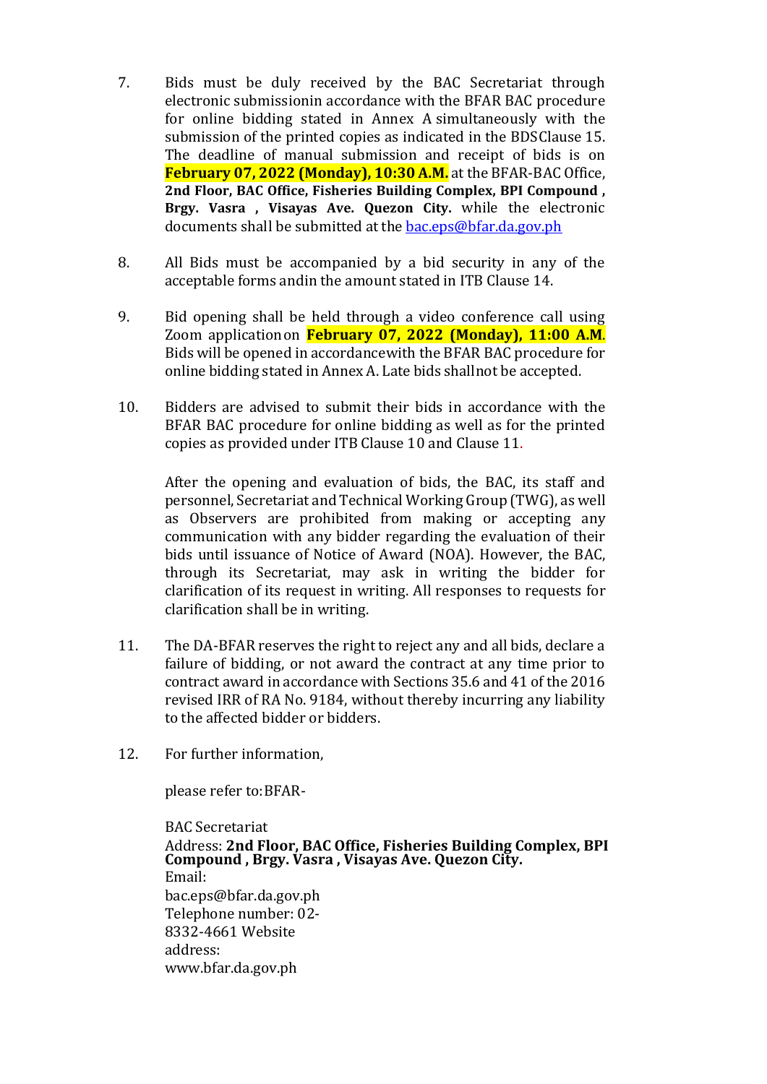- 7. Bids must be duly received by the BAC Secretariat through electronic submissionin accordance with the BFAR BAC procedure for online bidding stated in Annex A simultaneously with the submission of the printed copies as indicated in the BDSClause 15. The deadline of manual submission and receipt of bids is on **February 07, 2022 (Monday), 10:30 A.M.** at the BFAR-BAC Office, **2nd Floor, BAC Office, Fisheries Building Complex, BPI Compound , Brgy. Vasra , Visayas Ave. Quezon City.** while the electronic documents shall be submitted at the [bac.eps@bfar.da.gov.ph](mailto:bac.eps@bfar.da.gov.ph)
- 8. All Bids must be accompanied by a bid security in any of the acceptable forms andin the amount stated in ITB Clause 14.
- 9. Bid opening shall be held through a video conference call using Zoom applicationon **February 07, 2022 (Monday), 11:00 A.M**. Bids will be opened in accordancewith the BFAR BAC procedure for online bidding stated in Annex A. Late bids shallnot be accepted.
- 10. Bidders are advised to submit their bids in accordance with the BFAR BAC procedure for online bidding as well as for the printed copies as provided under ITB Clause 10 and Clause 11.

After the opening and evaluation of bids, the BAC, its staff and personnel,Secretariat and Technical Working Group (TWG), as well as Observers are prohibited from making or accepting any communication with any bidder regarding the evaluation of their bids until issuance of Notice of Award (NOA). However, the BAC, through its Secretariat, may ask in writing the bidder for clarification of its request in writing. All responses to requests for clarification shall be in writing.

- 11. The DA-BFAR reserves the right to reject any and all bids, declare a failure of bidding, or not award the contract at any time prior to contract award in accordance with Sections 35.6 and 41 of the 2016 revised IRR of RA No. 9184, without thereby incurring any liability to the affected bidder or bidders.
- 12. For further information,

please refer to:BFAR-

BAC Secretariat Address: **2nd Floor, BAC Office, Fisheries Building Complex, BPI Compound , Brgy. Vasra , Visayas Ave. Quezon City.** Email: [bac.eps@bfar.da.gov.ph](mailto:bac.eps@bfar.da.gov.ph) Telephone number: 02- 8332-4661 Website address: [www.bfar.da.gov.ph](http://www.bfar.da.gov.ph/)